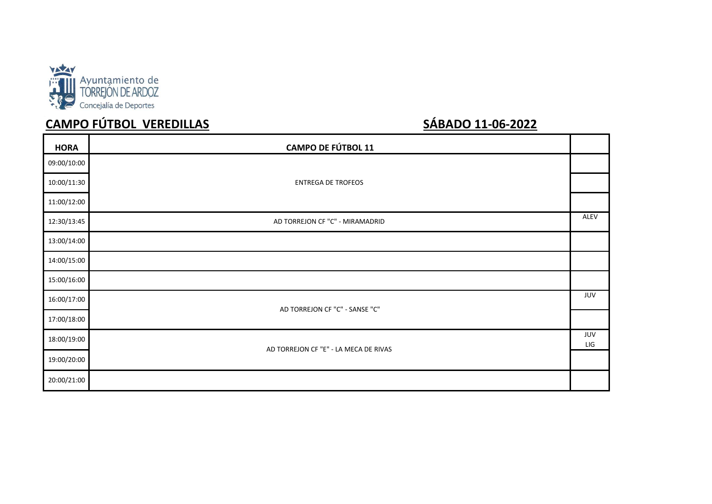

# **CAMPO FÚTBOL VEREDILLAS SÁBADO 11-06-2022**

| <b>HORA</b> | <b>CAMPO DE FÚTBOL 11</b>             |            |
|-------------|---------------------------------------|------------|
| 09:00/10:00 |                                       |            |
| 10:00/11:30 | <b>ENTREGA DE TROFEOS</b>             |            |
| 11:00/12:00 |                                       |            |
| 12:30/13:45 | AD TORREJON CF "C" - MIRAMADRID       | ALEV       |
| 13:00/14:00 |                                       |            |
| 14:00/15:00 |                                       |            |
| 15:00/16:00 |                                       |            |
| 16:00/17:00 |                                       | JUV        |
| 17:00/18:00 | AD TORREJON CF "C" - SANSE "C"        |            |
| 18:00/19:00 |                                       | JUV<br>LIG |
| 19:00/20:00 | AD TORREJON CF "E" - LA MECA DE RIVAS |            |
| 20:00/21:00 |                                       |            |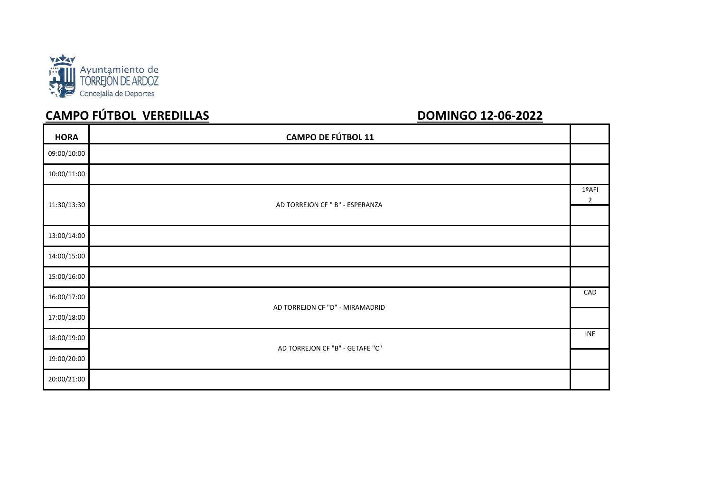

# **CAMPO FÚTBOL VEREDILLAS**

| <b>HORA</b> | <b>CAMPO DE FÚTBOL 11</b>       |     |
|-------------|---------------------------------|-----|
| 09:00/10:00 |                                 |     |
| 10:00/11:00 |                                 |     |
| 11:30/13:30 | AD TORREJON CF " B" - ESPERANZA |     |
|             |                                 |     |
| 13:00/14:00 |                                 |     |
| 14:00/15:00 |                                 |     |
| 15:00/16:00 |                                 |     |
| 16:00/17:00 | AD TORREJON CF "D" - MIRAMADRID |     |
| 17:00/18:00 |                                 |     |
| 18:00/19:00 |                                 | INF |
| 19:00/20:00 | AD TORREJON CF "B" - GETAFE "C" |     |
| 20:00/21:00 |                                 |     |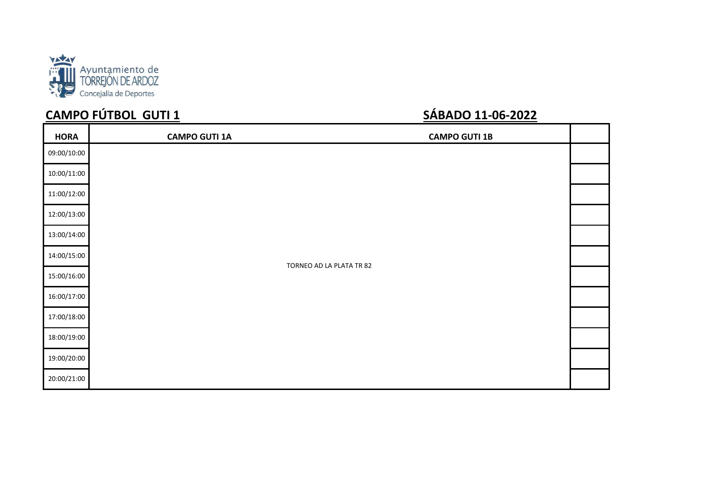

# **CAMPO FÚTBOL GUTI 1 SÁBADO 11-06-2022**

| <b>HORA</b> | <b>CAMPO GUTI 1A</b> | <b>CAMPO GUTI 1B</b>     |  |
|-------------|----------------------|--------------------------|--|
| 09:00/10:00 |                      |                          |  |
| 10:00/11:00 |                      |                          |  |
| 11:00/12:00 |                      |                          |  |
| 12:00/13:00 |                      |                          |  |
| 13:00/14:00 |                      |                          |  |
| 14:00/15:00 |                      |                          |  |
| 15:00/16:00 |                      | TORNEO AD LA PLATA TR 82 |  |
| 16:00/17:00 |                      |                          |  |
| 17:00/18:00 |                      |                          |  |
| 18:00/19:00 |                      |                          |  |
| 19:00/20:00 |                      |                          |  |
| 20:00/21:00 |                      |                          |  |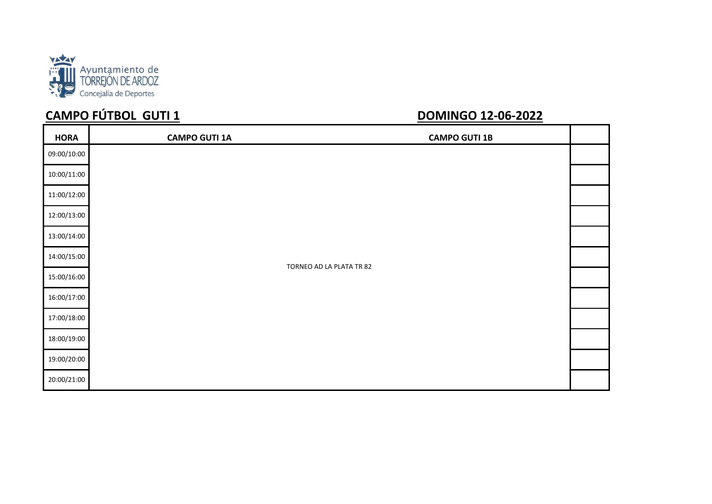

# **CAMPO FÚTBOL GUTI 1**

| <b>HORA</b> | <b>CAMPO GUTI 1A</b>     | <b>CAMPO GUTI 1B</b> |  |
|-------------|--------------------------|----------------------|--|
| 09:00/10:00 |                          |                      |  |
| 10:00/11:00 |                          |                      |  |
| 11:00/12:00 |                          |                      |  |
| 12:00/13:00 |                          |                      |  |
| 13:00/14:00 |                          |                      |  |
| 14:00/15:00 | TORNEO AD LA PLATA TR 82 |                      |  |
| 15:00/16:00 |                          |                      |  |
| 16:00/17:00 |                          |                      |  |
| 17:00/18:00 |                          |                      |  |
| 18:00/19:00 |                          |                      |  |
| 19:00/20:00 |                          |                      |  |
| 20:00/21:00 |                          |                      |  |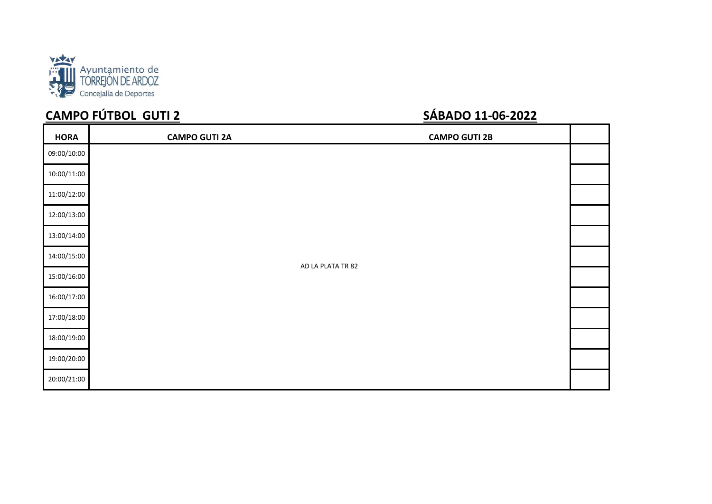

# **CAMPO FÚTBOL GUTI 2 SÁBADO 11-06-2022**

| <b>HORA</b> | <b>CAMPO GUTI 2A</b> | <b>CAMPO GUTI 2B</b> |  |
|-------------|----------------------|----------------------|--|
| 09:00/10:00 |                      |                      |  |
| 10:00/11:00 |                      |                      |  |
| 11:00/12:00 |                      |                      |  |
| 12:00/13:00 |                      |                      |  |
| 13:00/14:00 |                      |                      |  |
| 14:00/15:00 |                      | AD LA PLATA TR 82    |  |
| 15:00/16:00 |                      |                      |  |
| 16:00/17:00 |                      |                      |  |
| 17:00/18:00 |                      |                      |  |
| 18:00/19:00 |                      |                      |  |
| 19:00/20:00 |                      |                      |  |
| 20:00/21:00 |                      |                      |  |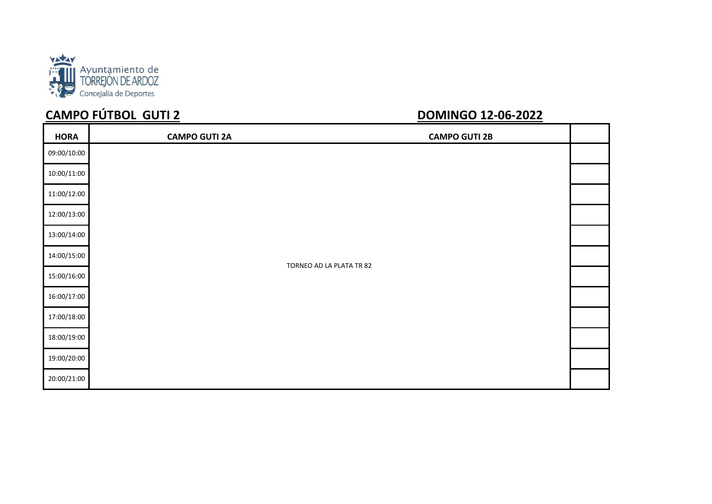

# **CAMPO FÚTBOL GUTI 2**

| <b>HORA</b> | <b>CAMPO GUTI 2A</b> | <b>CAMPO GUTI 2B</b>     |  |
|-------------|----------------------|--------------------------|--|
| 09:00/10:00 |                      |                          |  |
| 10:00/11:00 |                      |                          |  |
| 11:00/12:00 |                      |                          |  |
| 12:00/13:00 |                      |                          |  |
| 13:00/14:00 |                      |                          |  |
| 14:00/15:00 |                      |                          |  |
| 15:00/16:00 |                      | TORNEO AD LA PLATA TR 82 |  |
| 16:00/17:00 |                      |                          |  |
| 17:00/18:00 |                      |                          |  |
| 18:00/19:00 |                      |                          |  |
| 19:00/20:00 |                      |                          |  |
| 20:00/21:00 |                      |                          |  |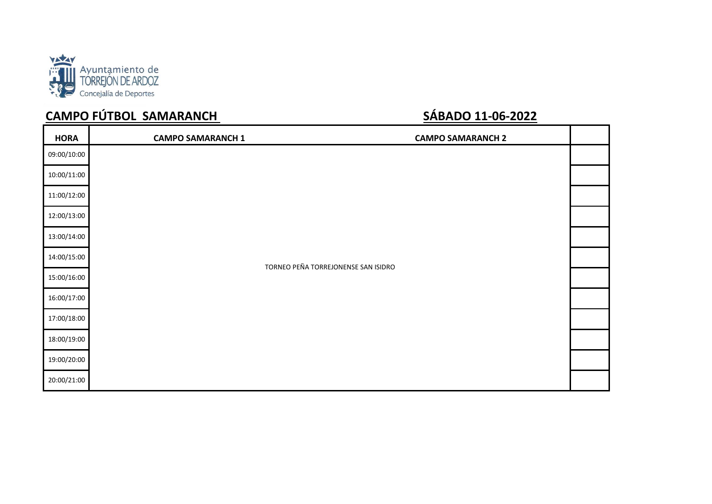

# **CAMPO FÚTBOL SAMARANCH SARADO 11-06-2022**

| <b>HORA</b> | <b>CAMPO SAMARANCH 1</b> | <b>CAMPO SAMARANCH 2</b>            |  |
|-------------|--------------------------|-------------------------------------|--|
| 09:00/10:00 |                          |                                     |  |
| 10:00/11:00 |                          |                                     |  |
| 11:00/12:00 |                          |                                     |  |
| 12:00/13:00 |                          |                                     |  |
| 13:00/14:00 |                          |                                     |  |
| 14:00/15:00 |                          | TORNEO PEÑA TORREJONENSE SAN ISIDRO |  |
| 15:00/16:00 |                          |                                     |  |
| 16:00/17:00 |                          |                                     |  |
| 17:00/18:00 |                          |                                     |  |
| 18:00/19:00 |                          |                                     |  |
| 19:00/20:00 |                          |                                     |  |
| 20:00/21:00 |                          |                                     |  |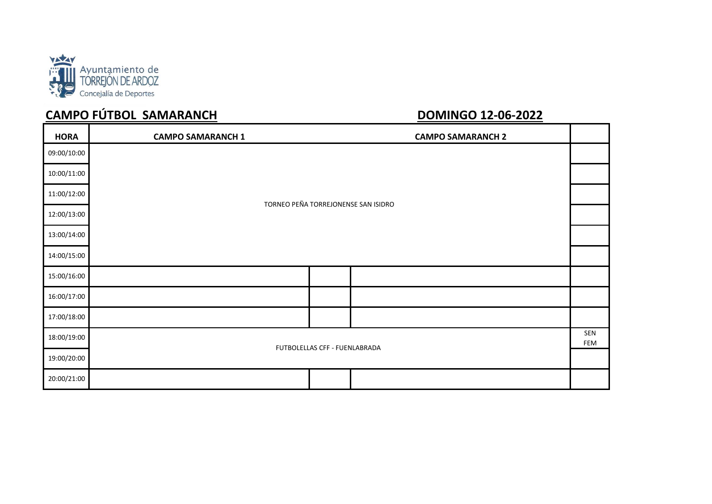

# **CAMPO FÚTBOL SAMARANCH**

| <b>HORA</b> | <b>CAMPO SAMARANCH 1</b> |                                     | <b>CAMPO SAMARANCH 2</b> |                   |
|-------------|--------------------------|-------------------------------------|--------------------------|-------------------|
| 09:00/10:00 |                          |                                     |                          |                   |
| 10:00/11:00 |                          |                                     |                          |                   |
| 11:00/12:00 |                          | TORNEO PEÑA TORREJONENSE SAN ISIDRO |                          |                   |
| 12:00/13:00 |                          |                                     |                          |                   |
| 13:00/14:00 |                          |                                     |                          |                   |
| 14:00/15:00 |                          |                                     |                          |                   |
| 15:00/16:00 |                          |                                     |                          |                   |
| 16:00/17:00 |                          |                                     |                          |                   |
| 17:00/18:00 |                          |                                     |                          |                   |
| 18:00/19:00 |                          | FUTBOLELLAS CFF - FUENLABRADA       |                          | SEN<br><b>FEM</b> |
| 19:00/20:00 |                          |                                     |                          |                   |
| 20:00/21:00 |                          |                                     |                          |                   |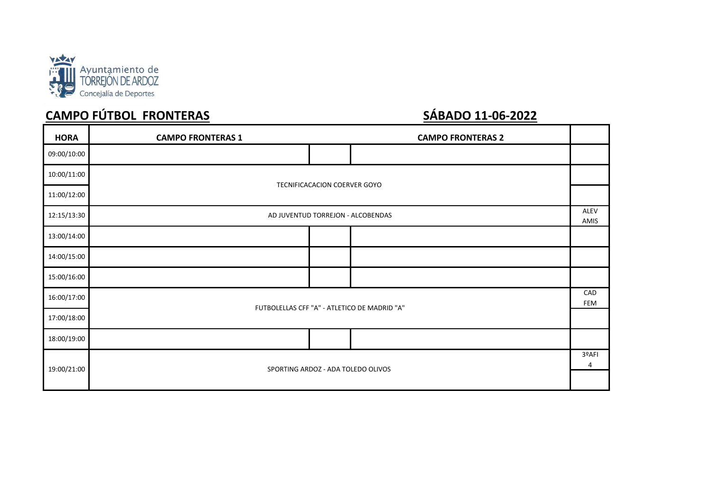

# **CAMPO FÚTBOL FRONTERAS SÁBADO 11-06-2022**

| <b>HORA</b> | <b>CAMPO FRONTERAS 1</b>                     |                              | <b>CAMPO FRONTERAS 2</b> |                   |  |
|-------------|----------------------------------------------|------------------------------|--------------------------|-------------------|--|
| 09:00/10:00 |                                              |                              |                          |                   |  |
| 10:00/11:00 |                                              |                              |                          |                   |  |
| 11:00/12:00 |                                              | TECNIFICACACION COERVER GOYO |                          |                   |  |
| 12:15/13:30 | AD JUVENTUD TORREJON - ALCOBENDAS            |                              |                          | ALEV<br>AMIS      |  |
| 13:00/14:00 |                                              |                              |                          |                   |  |
| 14:00/15:00 |                                              |                              |                          |                   |  |
| 15:00/16:00 |                                              |                              |                          |                   |  |
| 16:00/17:00 | FUTBOLELLAS CFF "A" - ATLETICO DE MADRID "A" |                              |                          | CAD<br><b>FEM</b> |  |
| 17:00/18:00 |                                              |                              |                          |                   |  |
| 18:00/19:00 |                                              |                              |                          |                   |  |
| 19:00/21:00 | SPORTING ARDOZ - ADA TOLEDO OLIVOS           |                              |                          | 3ºAFI<br>4        |  |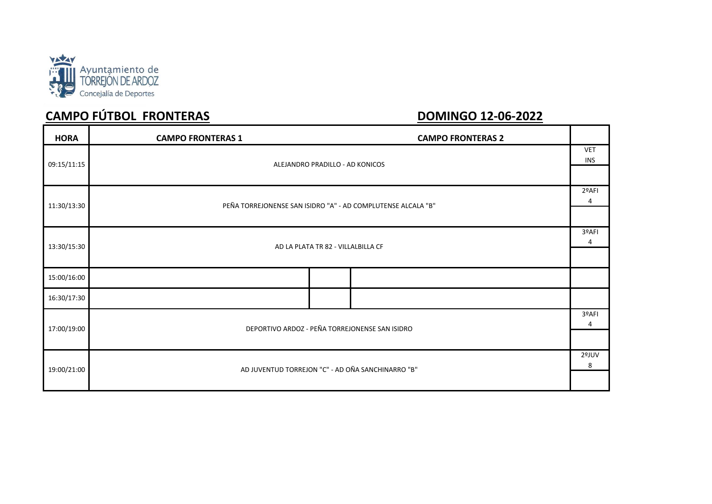

# **CAMPO FÚTBOL FRONTERAS DOMINGO 12-06-2022**

| <b>HORA</b>                                                                 | <b>CAMPO FRONTERAS 1</b><br><b>CAMPO FRONTERAS 2</b> |            |
|-----------------------------------------------------------------------------|------------------------------------------------------|------------|
| 09:15/11:15                                                                 | ALEJANDRO PRADILLO - AD KONICOS                      |            |
|                                                                             |                                                      |            |
| 11:30/13:30<br>PEÑA TORREJONENSE SAN ISIDRO "A" - AD COMPLUTENSE ALCALA "B" |                                                      | 2ºAFI<br>4 |
|                                                                             |                                                      |            |
|                                                                             |                                                      | 3ºAFI<br>4 |
| 13:30/15:30                                                                 | AD LA PLATA TR 82 - VILLALBILLA CF                   |            |
| 15:00/16:00                                                                 |                                                      |            |
| 16:30/17:30                                                                 |                                                      |            |
| 17:00/19:00                                                                 | DEPORTIVO ARDOZ - PEÑA TORREJONENSE SAN ISIDRO       | 3ºAFI<br>4 |
|                                                                             |                                                      |            |
|                                                                             |                                                      | 2ºJUV<br>8 |
| 19:00/21:00                                                                 | AD JUVENTUD TORREJON "C" - AD OÑA SANCHINARRO "B"    |            |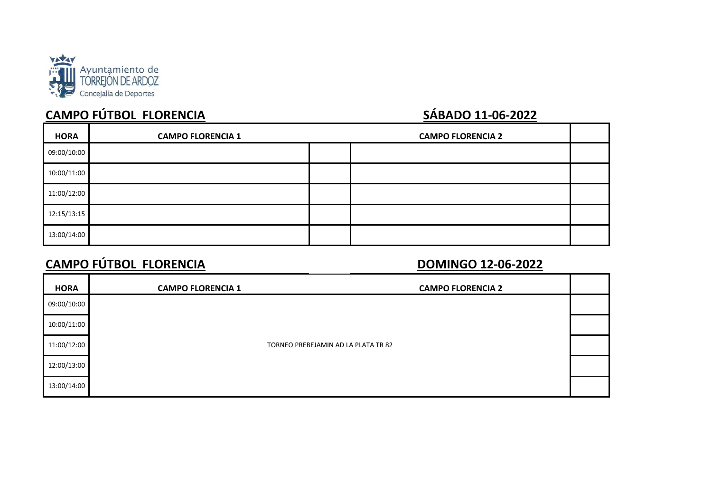

# **CAMPO FÚTBOL FLORENCIA SÁBADO 11-06-2022**

| <b>HORA</b> | <b>CAMPO FLORENCIA 1</b> | <b>CAMPO FLORENCIA 2</b> |  |
|-------------|--------------------------|--------------------------|--|
| 09:00/10:00 |                          |                          |  |
| 10:00/11:00 |                          |                          |  |
| 11:00/12:00 |                          |                          |  |
| 12:15/13:15 |                          |                          |  |
| 13:00/14:00 |                          |                          |  |

## **CAMPO FÚTBOL FLORENCIA DOMINGO 12-06-2022**

| <b>HORA</b> | <b>CAMPO FLORENCIA 1</b> | <b>CAMPO FLORENCIA 2</b>            |  |
|-------------|--------------------------|-------------------------------------|--|
| 09:00/10:00 |                          |                                     |  |
| 10:00/11:00 |                          |                                     |  |
| 11:00/12:00 |                          | TORNEO PREBEJAMIN AD LA PLATA TR 82 |  |
| 12:00/13:00 |                          |                                     |  |
| 13:00/14:00 |                          |                                     |  |